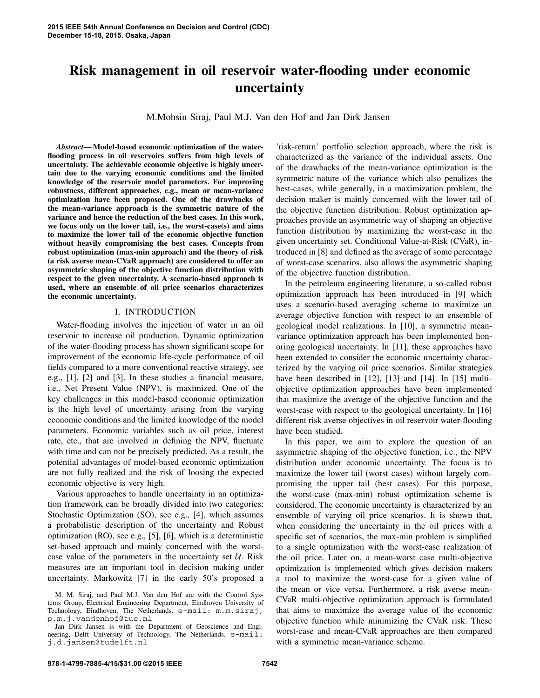# **Risk management in oil reservoir water-flooding under economic uncertainty**

M.Mohsin Siraj, Paul M.J. Van den Hof and Jan Dirk Jansen

*Abstract***— Model-based economic optimization of the waterflooding process in oil reservoirs suffers from high levels of uncertainty. The achievable economic objective is highly uncertain due to the varying economic conditions and the limited knowledge of the reservoir model parameters. For improving robustness, different approaches, e.g., mean or mean-variance optimization have been proposed. One of the drawbacks of the mean-variance approach is the symmetric nature of the variance and hence the reduction of the best cases. In this work, we focus only on the lower tail, i.e., the worst-case(s) and aims to maximize the lower tail of the economic objective function without heavily compromising the best cases. Concepts from robust optimization (max-min approach) and the theory of risk (a risk averse mean-CVaR approach) are considered to offer an asymmetric shaping of the objective function distribution with respect to the given uncertainty. A scenario-based approach is used, where an ensemble of oil price scenarios characterizes the economic uncertainty.**

#### I. INTRODUCTION

Water-flooding involves the injection of water in an oil reservoir to increase oil production. Dynamic optimization of the water-flooding process has shown significant scope for improvement of the economic life-cycle performance of oil fields compared to a more conventional reactive strategy, see e.g., [1], [2] and [3]. In these studies a financial measure, i.e., Net Present Value (NPV), is maximized. One of the key challenges in this model-based economic optimization is the high level of uncertainty arising from the varying economic conditions and the limited knowledge of the model parameters. Economic variables such as oil price, interest rate, etc., that are involved in defining the NPV, fluctuate with time and can not be precisely predicted. As a result, the potential advantages of model-based economic optimization are not fully realized and the risk of loosing the expected economic objective is very high.

Various approaches to handle uncertainty in an optimization framework can be broadly divided into two categories: Stochastic Optimization (SO), see e.g., [4], which assumes a probabilistic description of the uncertainty and Robust optimization (RO), see e.g., [5], [6], which is a deterministic set-based approach and mainly concerned with the worstcase value of the parameters in the uncertainty set  $U$ . Risk measures are an important tool in decision making under uncertainty. Markowitz [7] in the early 50's proposed a

'risk-return' portfolio selection approach, where the risk is characterized as the variance of the individual assets. One of the drawbacks of the mean-variance optimization is the symmetric nature of the variance which also penalizes the best-cases, while generally, in a maximization problem, the decision maker is mainly concerned with the lower tail of the objective function distribution. Robust optimization approaches provide an asymmetric way of shaping an objective function distribution by maximizing the worst-case in the given uncertainty set. Conditional Value-at-Risk (CVaR), introduced in [8] and defined as the average of some percentage of worst-case scenarios, also allows the asymmetric shaping of the objective function distribution.

In the petroleum engineering literature, a so-called robust optimization approach has been introduced in [9] which uses a scenario-based averaging scheme to maximize an average objective function with respect to an ensemble of geological model realizations. In [10], a symmetric meanvariance optimization approach has been implemented honoring geological uncertainty. In [11], these approaches have been extended to consider the economic uncertainty characterized by the varying oil price scenarios. Similar strategies have been described in [12], [13] and [14]. In [15] multiobjective optimization approaches have been implemented that maximize the average of the objective function and the worst-case with respect to the geological uncertainty. In [16] different risk averse objectives in oil reservoir water-flooding have been studied.

In this paper, we aim to explore the question of an asymmetric shaping of the objective function, i.e., the NPV distribution under economic uncertainty. The focus is to maximize the lower tail (worst cases) without largely compromising the upper tail (best cases). For this purpose, the worst-case (max-min) robust optimization scheme is considered. The economic uncertainty is characterized by an ensemble of varying oil price scenarios. It is shown that, when considering the uncertainty in the oil prices with a specific set of scenarios, the max-min problem is simplified to a single optimization with the worst-case realization of the oil price. Later on, a mean-worst case multi-objective optimization is implemented which gives decision makers a tool to maximize the worst-case for a given value of the mean or vice versa. Furthermore, a risk averse mean-CVaR multi-objective optimization approach is formulated that aims to maximize the average value of the economic objective function while minimizing the CVaR risk. These worst-case and mean-CVaR approaches are then compared with a symmetric mean-variance scheme.

M. M. Siraj, and Paul M.J. Van den Hof are with the Control Systems Group, Electrical Engineering Department, Eindhoven University of Technology, Eindhoven, The Netherlands. e-mail: m.m.siraj, p.m.j.vandenhof@tue.nl

Jan Dirk Jansen is with the Department of Geoscience and Engineering, Delft University of Technology, The Netherlands. e-mail: j.d.jansen@tudelft.nl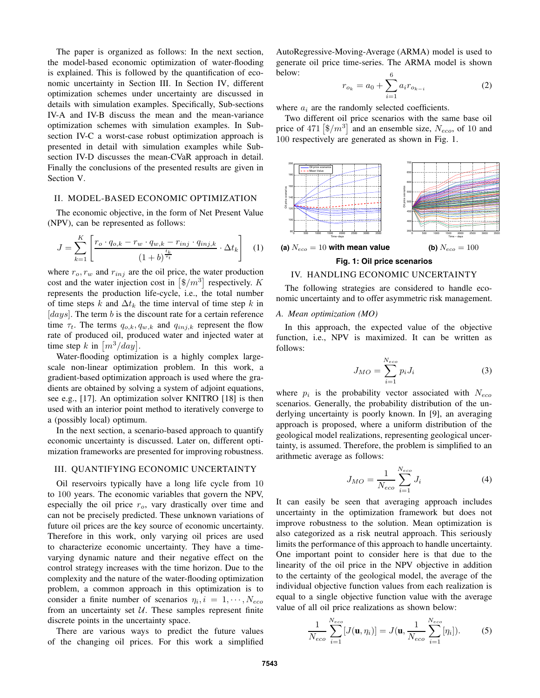The paper is organized as follows: In the next section, the model-based economic optimization of water-flooding is explained. This is followed by the quantification of economic uncertainty in Section III. In Section IV, different optimization schemes under uncertainty are discussed in details with simulation examples. Specifically, Sub-sections IV-A and IV-B discuss the mean and the mean-variance optimization schemes with simulation examples. In Subsection IV-C a worst-case robust optimization approach is presented in detail with simulation examples while Subsection IV-D discusses the mean-CVaR approach in detail. Finally the conclusions of the presented results are given in Section V.

## II. MODEL-BASED ECONOMIC OPTIMIZATION

The economic objective, in the form of Net Present Value (NPV), can be represented as follows:

$$
J = \sum_{k=1}^{K} \left[ \frac{r_o \cdot q_{o,k} - r_w \cdot q_{w,k} - r_{inj} \cdot q_{inj,k}}{\left(1 + b\right)^{\frac{t_k}{\tau_t}}} \cdot \Delta t_k \right] \tag{1}
$$

where  $r_o, r_w$  and  $r_{inj}$  are the oil price, the water production cost and the water injection cost in  $\left[\frac{6}{m^3}\right]$  respectively. K represents the production life-cycle, i.e., the total number of time steps k and  $\Delta t_k$  the time interval of time step k in  $[days]$ . The term b is the discount rate for a certain reference time  $\tau_t$ . The terms  $q_{o,k}, q_{w,k}$  and  $q_{inj,k}$  represent the flow rate of produced oil, produced water and injected water at time step k in  $\left[m^3/day\right]$ .

Water-flooding optimization is a highly complex largescale non-linear optimization problem. In this work, a gradient-based optimization approach is used where the gradients are obtained by solving a system of adjoint equations, see e.g., [17]. An optimization solver KNITRO [18] is then used with an interior point method to iteratively converge to a (possibly local) optimum.

In the next section, a scenario-based approach to quantify economic uncertainty is discussed. Later on, different optimization frameworks are presented for improving robustness.

#### III. QUANTIFYING ECONOMIC UNCERTAINTY

Oil reservoirs typically have a long life cycle from 10 to 100 years. The economic variables that govern the NPV, especially the oil price  $r<sub>o</sub>$ , vary drastically over time and can not be precisely predicted. These unknown variations of future oil prices are the key source of economic uncertainty. Therefore in this work, only varying oil prices are used to characterize economic uncertainty. They have a timevarying dynamic nature and their negative effect on the control strategy increases with the time horizon. Due to the complexity and the nature of the water-flooding optimization problem, a common approach in this optimization is to consider a finite number of scenarios  $\eta_i, i = 1, \cdots, N_{eco}$ from an uncertainty set  $U$ . These samples represent finite discrete points in the uncertainty space.

There are various ways to predict the future values of the changing oil prices. For this work a simplified

AutoRegressive-Moving-Average (ARMA) model is used to generate oil price time-series. The ARMA model is shown below: 6

$$
r_{o_k} = a_0 + \sum_{i=1}^{N} a_i r_{o_{k-i}}
$$
 (2)

where  $a_i$  are the randomly selected coefficients.

Two different oil price scenarios with the same base oil price of 471  $\left[\frac{6}{m^3}\right]$  and an ensemble size,  $N_{eco}$ , of 10 and 100 respectively are generated as shown in Fig. 1.



**Fig. 1: Oil price scenarios**

#### IV. HANDLING ECONOMIC UNCERTAINTY

The following strategies are considered to handle economic uncertainty and to offer asymmetric risk management.

#### *A. Mean optimization (MO)*

In this approach, the expected value of the objective function, i.e., NPV is maximized. It can be written as follows:

$$
J_{MO} = \sum_{i=1}^{N_{eco}} p_i J_i
$$
 (3)

where  $p_i$  is the probability vector associated with  $N_{eco}$ scenarios. Generally, the probability distribution of the underlying uncertainty is poorly known. In [9], an averaging approach is proposed, where a uniform distribution of the geological model realizations, representing geological uncertainty, is assumed. Therefore, the problem is simplified to an arithmetic average as follows:

$$
J_{MO} = \frac{1}{N_{eco}} \sum_{i=1}^{N_{eco}} J_i
$$
 (4)

It can easily be seen that averaging approach includes uncertainty in the optimization framework but does not improve robustness to the solution. Mean optimization is also categorized as a risk neutral approach. This seriously limits the performance of this approach to handle uncertainty. One important point to consider here is that due to the linearity of the oil price in the NPV objective in addition to the certainty of the geological model, the average of the individual objective function values from each realization is equal to a single objective function value with the average value of all oil price realizations as shown below:

$$
\frac{1}{N_{eco}}\sum_{i=1}^{N_{eco}}[J(\mathbf{u},\eta_i)] = J(\mathbf{u},\frac{1}{N_{eco}}\sum_{i=1}^{N_{eco}}[\eta_i]).
$$
 (5)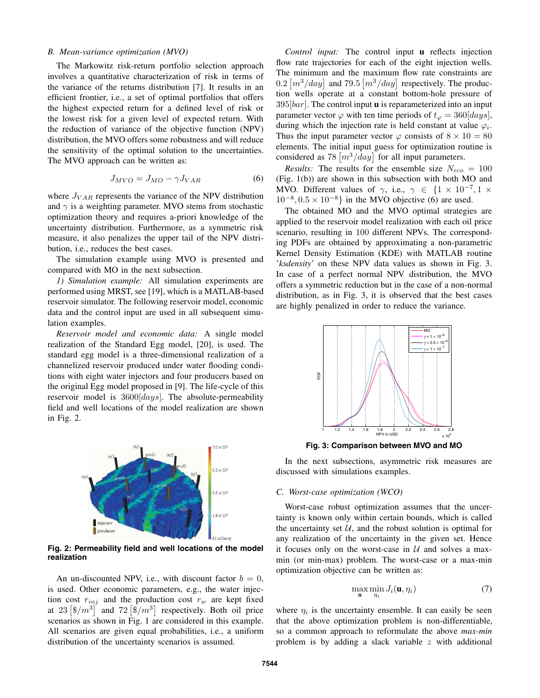## *B. Mean-variance optimization (MVO)*

The Markowitz risk-return portfolio selection approach involves a quantitative characterization of risk in terms of the variance of the returns distribution [7]. It results in an efficient frontier, i.e., a set of optimal portfolios that offers the highest expected return for a defined level of risk or the lowest risk for a given level of expected return. With the reduction of variance of the objective function (NPV) distribution, the MVO offers some robustness and will reduce the sensitivity of the optimal solution to the uncertainties. The MVO approach can be written as:

$$
J_{MVO} = J_{MO} - \gamma J_{VAR} \tag{6}
$$

where  $J_{VAR}$  represents the variance of the NPV distribution and  $\gamma$  is a weighting parameter. MVO stems from stochastic optimization theory and requires a-priori knowledge of the uncertainty distribution. Furthermore, as a symmetric risk measure, it also penalizes the upper tail of the NPV distribution, i.e., reduces the best cases.

The simulation example using MVO is presented and compared with MO in the next subsection.

*1) Simulation example:* All simulation experiments are performed using MRST, see [19], which is a MATLAB-based reservoir simulator. The following reservoir model, economic data and the control input are used in all subsequent simulation examples.

*Reservoir model and economic data:* A single model realization of the Standard Egg model, [20], is used. The standard egg model is a three-dimensional realization of a channelized reservoir produced under water flooding conditions with eight water injectors and four producers based on the original Egg model proposed in [9]. The life-cycle of this reservoir model is 3600[days]. The absolute-permeability field and well locations of the model realization are shown in Fig. 2.



**Fig. 2: Permeability field and well locations of the model realization**

An un-discounted NPV, i.e., with discount factor  $b = 0$ , is used. Other economic parameters, e.g., the water injection cost  $r_{inj}$  and the production cost  $r_w$  are kept fixed at 23  $\left[\frac{8}{m^3}\right]$  and 72  $\left[\frac{8}{m^3}\right]$  respectively. Both oil price scenarios as shown in Fig. 1 are considered in this example. All scenarios are given equal probabilities, i.e., a uniform distribution of the uncertainty scenarios is assumed.

*Control input:* The control input **u** reflects injection flow rate trajectories for each of the eight injection wells. The minimum and the maximum flow rate constraints are  $0.2 \left[ m^3/day \right]$  and  $79.5 \left[ m^3/day \right]$  respectively. The production wells operate at a constant bottom-hole pressure of 395[bar]. The control input **u** is reparameterized into an input parameter vector  $\varphi$  with ten time periods of  $t_{\varphi} = 360 [days]$ , during which the injection rate is held constant at value  $\varphi_i$ . Thus the input parameter vector  $\varphi$  consists of  $8 \times 10 = 80$ elements. The initial input guess for optimization routine is considered as 78  $[m^3/day]$  for all input parameters.

*Results:* The results for the ensemble size  $N_{eco} = 100$ (Fig. 1(b)) are shown in this subsection with both MO and MVO. Different values of  $\gamma$ , i.e.,  $\gamma \in \{1 \times 10^{-7}, 1 \times$  $10^{-8}$ ,  $0.5 \times 10^{-8}$ } in the MVO objective (6) are used.

The obtained MO and the MVO optimal strategies are applied to the reservoir model realization with each oil price scenario, resulting in 100 different NPVs. The corresponding PDFs are obtained by approximating a non-parametric Kernel Density Estimation (KDE) with MATLAB routine '*ksdensity*' on these NPV data values as shown in Fig. 3. In case of a perfect normal NPV distribution, the MVO offers a symmetric reduction but in the case of a non-normal distribution, as in Fig. 3, it is observed that the best cases are highly penalized in order to reduce the variance.



**Fig. 3: Comparison between MVO and MO**

In the next subsections, asymmetric risk measures are discussed with simulations examples.

#### *C. Worst-case optimization (WCO)*

Worst-case robust optimization assumes that the uncertainty is known only within certain bounds, which is called the uncertainty set  $U$ , and the robust solution is optimal for any realization of the uncertainty in the given set. Hence it focuses only on the worst-case in  $U$  and solves a maxmin (or min-max) problem. The worst-case or a max-min optimization objective can be written as:

$$
\max_{\mathbf{u}} \min_{\eta_i} J_i(\mathbf{u}, \eta_i)
$$
 (7)

where  $\eta_i$  is the uncertainty ensemble. It can easily be seen that the above optimization problem is non-differentiable, so a common approach to reformulate the above *max-min* problem is by adding a slack variable  $z$  with additional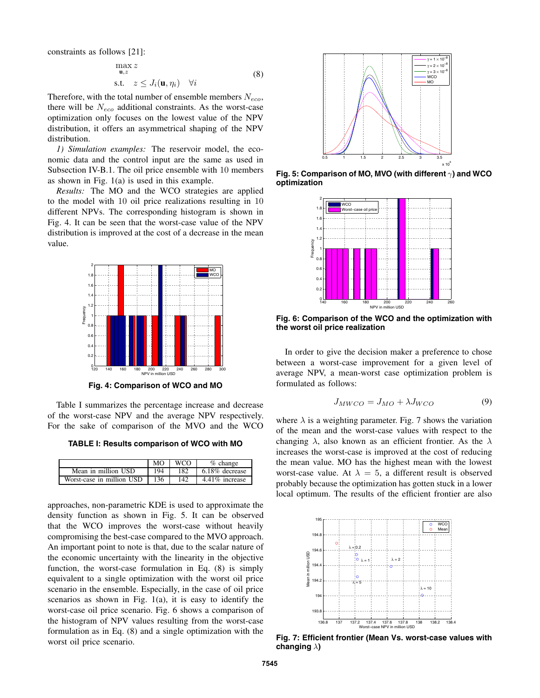constraints as follows [21]:

$$
\max_{\mathbf{u},z} z
$$
  
s.t.  $z \leq J_i(\mathbf{u},\eta_i) \quad \forall i$  (8)

Therefore, with the total number of ensemble members  $N_{eco}$ , there will be  $N_{eco}$  additional constraints. As the worst-case optimization only focuses on the lowest value of the NPV distribution, it offers an asymmetrical shaping of the NPV distribution.

*1) Simulation examples:* The reservoir model, the economic data and the control input are the same as used in Subsection IV-B.1. The oil price ensemble with 10 members as shown in Fig. 1(a) is used in this example.

*Results:* The MO and the WCO strategies are applied to the model with 10 oil price realizations resulting in 10 different NPVs. The corresponding histogram is shown in Fig. 4. It can be seen that the worst-case value of the NPV distribution is improved at the cost of a decrease in the mean value.



**Fig. 4: Comparison of WCO and MO**

Table I summarizes the percentage increase and decrease of the worst-case NPV and the average NPV respectively. For the sake of comparison of the MVO and the WCO

**TABLE I: Results comparison of WCO with MO**

|                           | MО  | wco | $%$ change        |
|---------------------------|-----|-----|-------------------|
| Mean in million USD       | 194 | 182 | $6.18\%$ decrease |
| Worst-case in million USD | 136 | 142 | $4.41\%$ increase |

approaches, non-parametric KDE is used to approximate the density function as shown in Fig. 5. It can be observed that the WCO improves the worst-case without heavily compromising the best-case compared to the MVO approach. An important point to note is that, due to the scalar nature of the economic uncertainty with the linearity in the objective function, the worst-case formulation in Eq. (8) is simply equivalent to a single optimization with the worst oil price scenario in the ensemble. Especially, in the case of oil price scenarios as shown in Fig. 1(a), it is easy to identify the worst-case oil price scenario. Fig. 6 shows a comparison of the histogram of NPV values resulting from the worst-case formulation as in Eq. (8) and a single optimization with the worst oil price scenario.



**Fig. 5: Comparison of MO, MVO (with different** γ**) and WCO optimization**



**Fig. 6: Comparison of the WCO and the optimization with the worst oil price realization**

In order to give the decision maker a preference to chose between a worst-case improvement for a given level of average NPV, a mean-worst case optimization problem is formulated as follows:

$$
J_{MWCO} = J_{MO} + \lambda J_{WCO} \tag{9}
$$

where  $\lambda$  is a weighting parameter. Fig. 7 shows the variation of the mean and the worst-case values with respect to the changing  $\lambda$ , also known as an efficient frontier. As the  $\lambda$ increases the worst-case is improved at the cost of reducing the mean value. MO has the highest mean with the lowest worst-case value. At  $\lambda = 5$ , a different result is observed probably because the optimization has gotten stuck in a lower local optimum. The results of the efficient frontier are also



**Fig. 7: Efficient frontier (Mean Vs. worst-case values with changing** λ**)**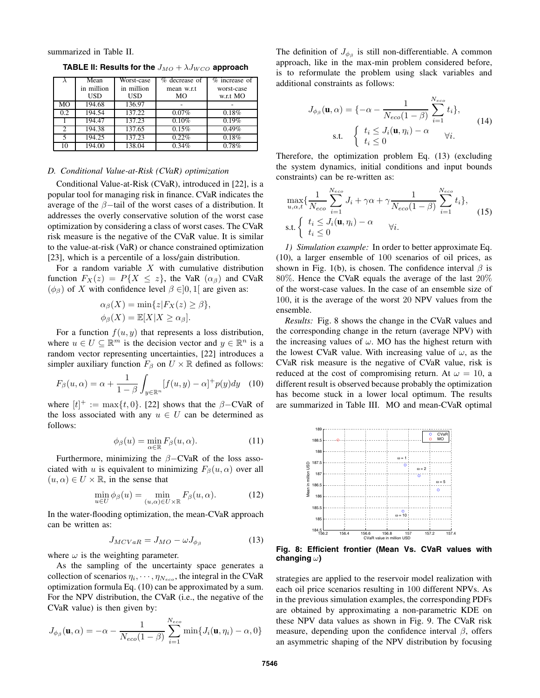summarized in Table II.

| λ   | Mean       | Worst-case | % decrease of | $%$ increase of |
|-----|------------|------------|---------------|-----------------|
|     | in million | in million | mean w.r.t    | worst-case      |
|     | USD        | USD        | <b>MO</b>     | w.r.t MO        |
| MO  | 194.68     | 136.97     |               |                 |
| 0.2 | 194.54     | 137.22     | $0.07\%$      | 0.18%           |
|     | 194.47     | 137.23     | 0.10%         | 0.19%           |
| 2   | 194.38     | 137.65     | 0.15%         | 0.49%           |
| 5   | 194.25     | 137.23     | 0.22%         | 0.18%           |
| 10  | 194.00     | 138.04     | 0.34%         | 0.78%           |

**TABLE II: Results for the**  $J_{MO} + \lambda J_{WCO}$  approach

## *D. Conditional Value-at-Risk (CVaR) optimization*

Conditional Value-at-Risk (CVaR), introduced in [22], is a popular tool for managing risk in finance. CVaR indicates the average of the  $\beta$ -tail of the worst cases of a distribution. It addresses the overly conservative solution of the worst case optimization by considering a class of worst cases. The CVaR risk measure is the negative of the CVaR value. It is similar to the value-at-risk (VaR) or chance constrained optimization [23], which is a percentile of a loss/gain distribution.

For a random variable  $X$  with cumulative distribution function  $F_X(z) = P\{X \leq z\}$ , the VaR  $(\alpha_\beta)$  and CVaR  $(\phi_{\beta})$  of X with confidence level  $\beta \in ]0,1[$  are given as:

$$
\alpha_{\beta}(X) = \min\{z|F_X(z) \ge \beta\},
$$
  

$$
\phi_{\beta}(X) = \mathbb{E}[X|X \ge \alpha_{\beta}].
$$

For a function  $f(u, y)$  that represents a loss distribution, where  $u \in U \subseteq \mathbb{R}^m$  is the decision vector and  $y \in \mathbb{R}^n$  is a random vector representing uncertainties, [22] introduces a simpler auxiliary function  $F_\beta$  on  $U \times \mathbb{R}$  defined as follows:

$$
F_{\beta}(u,\alpha) = \alpha + \frac{1}{1-\beta} \int_{y \in \mathbb{R}^n} [f(u,y) - \alpha]^+ p(y) dy \quad (10)
$$

where  $[t]^+ := \max\{t, 0\}$ . [22] shows that the  $\beta$ -CVaR of the loss associated with any  $u \in U$  can be determined as follows:

$$
\phi_{\beta}(u) = \min_{\alpha \in \mathbb{R}} F_{\beta}(u, \alpha).
$$
 (11)

Furthermore, minimizing the  $β$ −CVaR of the loss associated with u is equivalent to minimizing  $F_\beta(u, \alpha)$  over all  $(u, \alpha) \in U \times \mathbb{R}$ , in the sense that

$$
\min_{u \in U} \phi_{\beta}(u) = \min_{(u,\alpha) \in U \times \mathbb{R}} F_{\beta}(u,\alpha).
$$
 (12)

In the water-flooding optimization, the mean-CVaR approach can be written as:

$$
J_{MCVaR} = J_{MO} - \omega J_{\phi_{\beta}} \tag{13}
$$

where  $\omega$  is the weighting parameter.

As the sampling of the uncertainty space generates a collection of scenarios  $\eta_i, \dots, \eta_{N_{eco}}$ , the integral in the CVaR optimization formula Eq. (10) can be approximated by a sum. For the NPV distribution, the CVaR (i.e., the negative of the CVaR value) is then given by:

$$
J_{\phi_{\beta}}(\mathbf{u}, \alpha) = -\alpha - \frac{1}{N_{eco}(1-\beta)} \sum_{i=1}^{N_{eco}} \min\{J_i(\mathbf{u}, \eta_i) - \alpha, 0\}
$$

The definition of  $J_{\phi_\beta}$  is still non-differentiable. A common approach, like in the max-min problem considered before, is to reformulate the problem using slack variables and additional constraints as follows:

$$
J_{\phi_{\beta}}(\mathbf{u}, \alpha) = \{-\alpha - \frac{1}{N_{eco}(1-\beta)} \sum_{i=1}^{N_{eco}} t_i\},\
$$
  
s.t. 
$$
\begin{cases} t_i \leq J_i(\mathbf{u}, \eta_i) - \alpha \\ t_i \leq 0 \end{cases} \forall i.
$$
 (14)

Therefore, the optimization problem Eq. (13) (excluding the system dynamics, initial conditions and input bounds constraints) can be re-written as:

$$
\max_{u,\alpha,t} \{ \frac{1}{N_{eco}} \sum_{i=1}^{N_{eco}} J_i + \gamma \alpha + \gamma \frac{1}{N_{eco}(1-\beta)} \sum_{i=1}^{N_{eco}} t_i \},
$$
  
s.t. 
$$
\begin{cases} t_i \leq J_i(\mathbf{u}, \eta_i) - \alpha \\ t_i \leq 0 \end{cases} \forall i.
$$
 (15)

*1) Simulation example:* In order to better approximate Eq. (10), a larger ensemble of 100 scenarios of oil prices, as shown in Fig. 1(b), is chosen. The confidence interval  $\beta$  is 80%. Hence the CVaR equals the average of the last 20% of the worst-case values. In the case of an ensemble size of 100, it is the average of the worst 20 NPV values from the ensemble.

*Results:* Fig. 8 shows the change in the CVaR values and the corresponding change in the return (average NPV) with the increasing values of  $\omega$ . MO has the highest return with the lowest CVaR value. With increasing value of  $\omega$ , as the CVaR risk measure is the negative of CVaR value, risk is reduced at the cost of compromising return. At  $\omega = 10$ , a different result is observed because probably the optimization has become stuck in a lower local optimum. The results are summarized in Table III. MO and mean-CVaR optimal



**Fig. 8: Efficient frontier (Mean Vs. CVaR values with changing** ω**)**

strategies are applied to the reservoir model realization with each oil price scenarios resulting in 100 different NPVs. As in the previous simulation examples, the corresponding PDFs are obtained by approximating a non-parametric KDE on these NPV data values as shown in Fig. 9. The CVaR risk measure, depending upon the confidence interval  $\beta$ , offers an asymmetric shaping of the NPV distribution by focusing